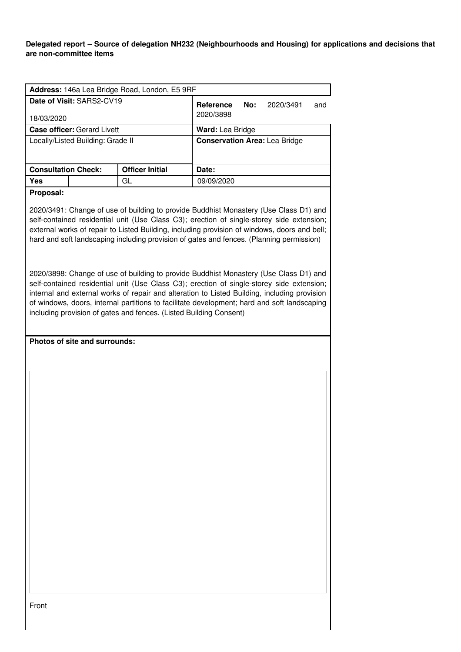**Delegated report – Source of delegation NH232 (Neighbourhoods and Housing) for applications and decisions that are non-committee items**

| Address: 146a Lea Bridge Road, London, E5 9RF                                                                                                                                                                                                                                                                                                                                                                                                           |                        |                                      |  |
|---------------------------------------------------------------------------------------------------------------------------------------------------------------------------------------------------------------------------------------------------------------------------------------------------------------------------------------------------------------------------------------------------------------------------------------------------------|------------------------|--------------------------------------|--|
| Date of Visit: SARS2-CV19                                                                                                                                                                                                                                                                                                                                                                                                                               |                        | Reference<br>No:<br>2020/3491<br>and |  |
| 18/03/2020                                                                                                                                                                                                                                                                                                                                                                                                                                              |                        | 2020/3898                            |  |
| <b>Case officer: Gerard Livett</b>                                                                                                                                                                                                                                                                                                                                                                                                                      |                        | Ward: Lea Bridge                     |  |
| Locally/Listed Building: Grade II                                                                                                                                                                                                                                                                                                                                                                                                                       |                        | <b>Conservation Area: Lea Bridge</b> |  |
|                                                                                                                                                                                                                                                                                                                                                                                                                                                         |                        |                                      |  |
| <b>Consultation Check:</b>                                                                                                                                                                                                                                                                                                                                                                                                                              | <b>Officer Initial</b> | Date:                                |  |
| <b>Yes</b>                                                                                                                                                                                                                                                                                                                                                                                                                                              | GL                     | 09/09/2020                           |  |
| Proposal:                                                                                                                                                                                                                                                                                                                                                                                                                                               |                        |                                      |  |
| 2020/3491: Change of use of building to provide Buddhist Monastery (Use Class D1) and<br>self-contained residential unit (Use Class C3); erection of single-storey side extension;<br>external works of repair to Listed Building, including provision of windows, doors and bell;<br>hard and soft landscaping including provision of gates and fences. (Planning permission)                                                                          |                        |                                      |  |
| 2020/3898: Change of use of building to provide Buddhist Monastery (Use Class D1) and<br>self-contained residential unit (Use Class C3); erection of single-storey side extension;<br>internal and external works of repair and alteration to Listed Building, including provision<br>of windows, doors, internal partitions to facilitate development; hard and soft landscaping<br>including provision of gates and fences. (Listed Building Consent) |                        |                                      |  |
| Photos of site and surrounds:                                                                                                                                                                                                                                                                                                                                                                                                                           |                        |                                      |  |
|                                                                                                                                                                                                                                                                                                                                                                                                                                                         |                        |                                      |  |
|                                                                                                                                                                                                                                                                                                                                                                                                                                                         |                        |                                      |  |
|                                                                                                                                                                                                                                                                                                                                                                                                                                                         |                        |                                      |  |
|                                                                                                                                                                                                                                                                                                                                                                                                                                                         |                        |                                      |  |
| Front                                                                                                                                                                                                                                                                                                                                                                                                                                                   |                        |                                      |  |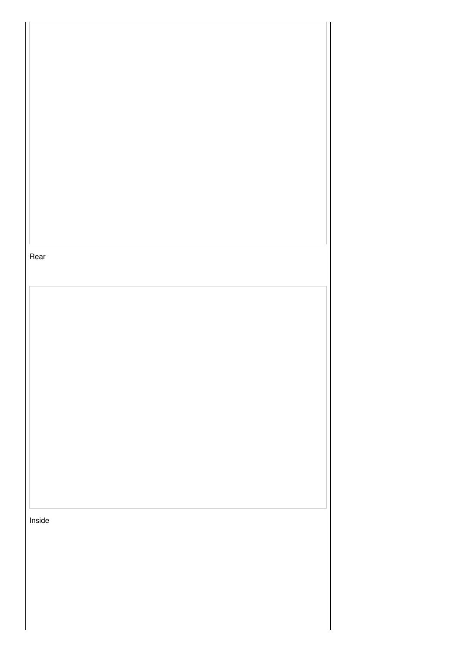| Rear   |  |  |  |
|--------|--|--|--|
|        |  |  |  |
|        |  |  |  |
|        |  |  |  |
|        |  |  |  |
|        |  |  |  |
|        |  |  |  |
|        |  |  |  |
|        |  |  |  |
|        |  |  |  |
|        |  |  |  |
|        |  |  |  |
|        |  |  |  |
|        |  |  |  |
|        |  |  |  |
|        |  |  |  |
|        |  |  |  |
|        |  |  |  |
|        |  |  |  |
|        |  |  |  |
|        |  |  |  |
| Inside |  |  |  |
|        |  |  |  |
|        |  |  |  |
|        |  |  |  |
|        |  |  |  |
|        |  |  |  |
|        |  |  |  |
|        |  |  |  |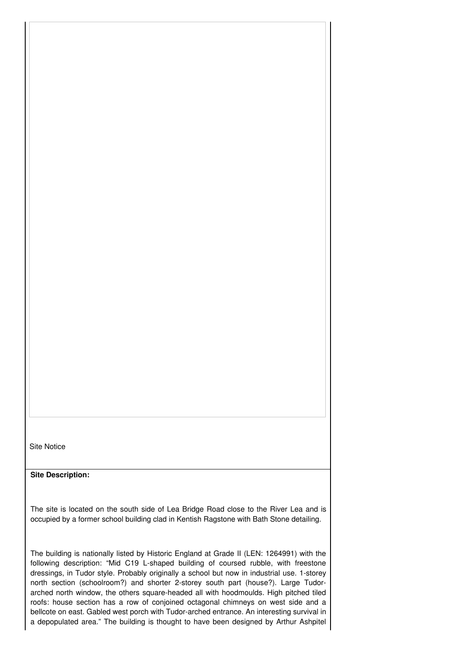Site Notice

**Site Description:**

The site is located on the south side of Lea Bridge Road close to the River Lea and is occupied by a former school building clad in Kentish Ragstone with Bath Stone detailing.

The building is nationally listed by Historic England at Grade II (LEN: 1264991) with the following description: "Mid C19 L-shaped building of coursed rubble, with freestone dressings, in Tudor style. Probably originally a school but now in industrial use. 1-storey north section (schoolroom?) and shorter 2-storey south part (house?). Large Tudorarched north window, the others square-headed all with hoodmoulds. High pitched tiled roofs: house section has a row of conjoined octagonal chimneys on west side and a bellcote on east. Gabled west porch with Tudor-arched entrance. An interesting survival in a depopulated area." The building is thought to have been designed by Arthur Ashpitel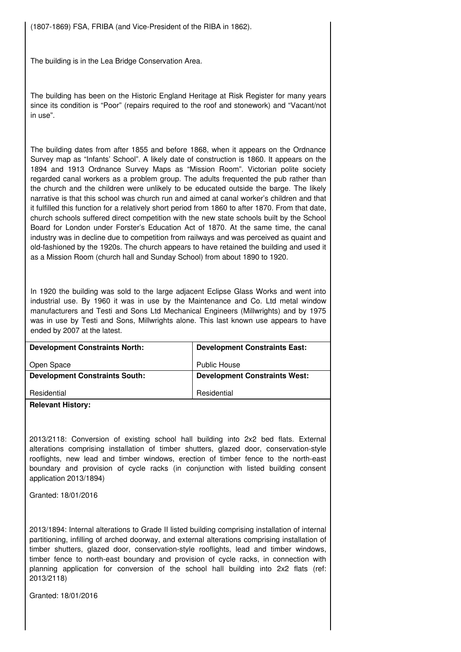(1807-1869) FSA, FRIBA (and Vice-President of the RIBA in 1862).

The building is in the Lea Bridge Conservation Area.

The building has been on the Historic England Heritage at Risk Register for many years since its condition is "Poor" (repairs required to the roof and stonework) and "Vacant/not in use".

The building dates from after 1855 and before 1868, when it appears on the Ordnance Survey map as "Infants' School". A likely date of construction is 1860. It appears on the 1894 and 1913 Ordnance Survey Maps as "Mission Room". Victorian polite society regarded canal workers as a problem group. The adults frequented the pub rather than the church and the children were unlikely to be educated outside the barge. The likely narrative is that this school was church run and aimed at canal worker's children and that it fulfilled this function for a relatively short period from 1860 to after 1870. From that date, church schools suffered direct competition with the new state schools built by the School Board for London under Forster's Education Act of 1870. At the same time, the canal industry was in decline due to competition from railways and was perceived as quaint and old-fashioned by the 1920s. The church appears to have retained the building and used it as a Mission Room (church hall and Sunday School) from about 1890 to 1920.

In 1920 the building was sold to the large adjacent Eclipse Glass Works and went into industrial use. By 1960 it was in use by the Maintenance and Co. Ltd metal window manufacturers and Testi and Sons Ltd Mechanical Engineers (Millwrights) and by 1975 was in use by Testi and Sons, Millwrights alone. This last known use appears to have ended by 2007 at the latest.

| <b>Development Constraints North:</b> | <b>Development Constraints East:</b> |
|---------------------------------------|--------------------------------------|
| Open Space                            | <b>Public House</b>                  |
| <b>Development Constraints South:</b> | <b>Development Constraints West:</b> |
| Residential                           | Residential                          |

**Relevant History:**

2013/2118: Conversion of existing school hall building into 2x2 bed flats. External alterations comprising installation of timber shutters, glazed door, conservation-style rooflights, new lead and timber windows, erection of timber fence to the north-east boundary and provision of cycle racks (in conjunction with listed building consent application 2013/1894)

Granted: 18/01/2016

2013/1894: Internal alterations to Grade II listed building comprising installation of internal partitioning, infilling of arched doorway, and external alterations comprising installation of timber shutters, glazed door, conservation-style rooflights, lead and timber windows, timber fence to north-east boundary and provision of cycle racks, in connection with planning application for conversion of the school hall building into 2x2 flats (ref: 2013/2118)

Granted: 18/01/2016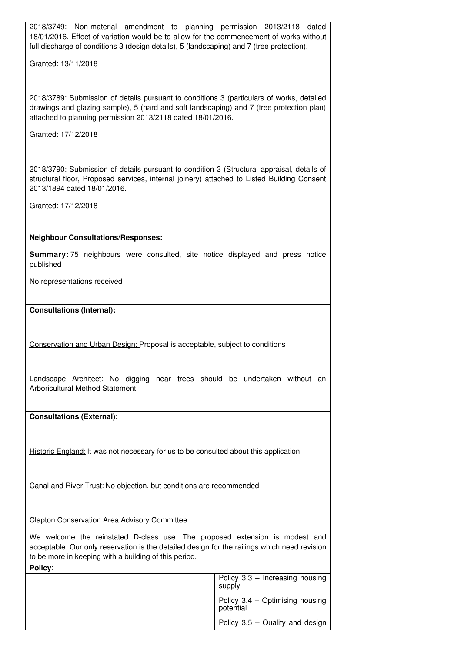2018/3749: Non-material amendment to planning permission 2013/2118 dated 18/01/2016. Effect of variation would be to allow for the commencement of works without full discharge of conditions 3 (design details), 5 (landscaping) and 7 (tree protection).

Granted: 13/11/2018

2018/3789: Submission of details pursuant to conditions 3 (particulars of works, detailed drawings and glazing sample), 5 (hard and soft landscaping) and 7 (tree protection plan) attached to planning permission 2013/2118 dated 18/01/2016.

Granted: 17/12/2018

2018/3790: Submission of details pursuant to condition 3 (Structural appraisal, details of structural floor, Proposed services, internal joinery) attached to Listed Building Consent 2013/1894 dated 18/01/2016.

Granted: 17/12/2018

## **Neighbour Consultations/Responses:**

**Summary:** 75 neighbours were consulted, site notice displayed and press notice published

No representations received

# **Consultations (Internal):**

Conservation and Urban Design: Proposal is acceptable, subject to conditions

Landscape Architect: No digging near trees should be undertaken without an Arboricultural Method Statement

**Consultations (External):**

**Policy**:

Historic England: It was not necessary for us to be consulted about this application

Canal and River Trust: No objection, but conditions are recommended

Clapton Conservation Area Advisory Committee:

We welcome the reinstated D-class use. The proposed extension is modest and acceptable. Our only reservation is the detailed design for the railings which need revision to be more in keeping with a building of this period.

> Policy 3.3 – Increasing housing supply Policy 3.4 – Optimising housing potential Policy 3.5 – Quality and design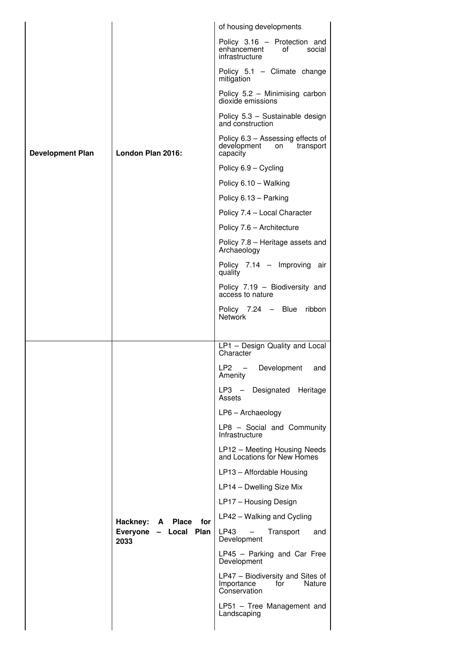|                         |                                       | of housing developments                                                         |  |
|-------------------------|---------------------------------------|---------------------------------------------------------------------------------|--|
|                         |                                       | Policy 3.16 - Protection and<br>enhancement<br>οf<br>social<br>infrastructure   |  |
|                         |                                       | Policy $5.1$ – Climate change<br>mitigation                                     |  |
|                         |                                       | Policy 5.2 - Minimising carbon<br>dioxide emissions                             |  |
|                         |                                       | Policy 5.3 - Sustainable design<br>and construction                             |  |
| <b>Development Plan</b> | London Plan 2016:                     | Policy 6.3 - Assessing effects of<br>development on<br>transport<br>capacity    |  |
|                         |                                       | Policy 6.9 - Cycling                                                            |  |
|                         |                                       | Policy 6.10 - Walking                                                           |  |
|                         |                                       | Policy 6.13 - Parking                                                           |  |
|                         |                                       | Policy 7.4 - Local Character                                                    |  |
|                         |                                       | Policy 7.6 - Architecture                                                       |  |
|                         |                                       | Policy 7.8 - Heritage assets and<br>Archaeology                                 |  |
|                         |                                       | Policy 7.14 - Improving air<br>quality                                          |  |
|                         |                                       | Policy 7.19 - Biodiversity and<br>access to nature                              |  |
|                         |                                       | Policy $7.24 - B$ lue<br>ribbon<br><b>Network</b>                               |  |
|                         |                                       |                                                                                 |  |
|                         |                                       | LP1 - Design Quality and Local<br>Character                                     |  |
|                         |                                       | LP <sub>2</sub><br>$\equiv$<br>Development<br>and<br>Amenity                    |  |
|                         |                                       | Heritage<br>LP3 —<br>Designated<br>Assets                                       |  |
|                         |                                       | $LP6 - Archaeology$                                                             |  |
|                         |                                       | LP8 - Social and Community<br>Infrastructure                                    |  |
|                         |                                       | LP12 - Meeting Housing Needs<br>and Locations for New Homes                     |  |
|                         |                                       | LP13 - Affordable Housing                                                       |  |
|                         |                                       | LP14 - Dwelling Size Mix                                                        |  |
|                         |                                       | LP17 - Housing Design                                                           |  |
|                         | Hackney:<br>Place<br>for<br>A         | LP42 - Walking and Cycling                                                      |  |
|                         | Everyone<br>Local Plan<br>$-$<br>2033 | LP43<br>$\overline{\phantom{0}}$<br>Transport<br>and<br>Development             |  |
|                         |                                       | LP45 - Parking and Car Free<br>Development                                      |  |
|                         |                                       | LP47 - Biodiversity and Sites of<br>Importance<br>for<br>Nature<br>Conservation |  |
|                         |                                       | LP51 - Tree Management and<br>Landscaping                                       |  |
|                         |                                       |                                                                                 |  |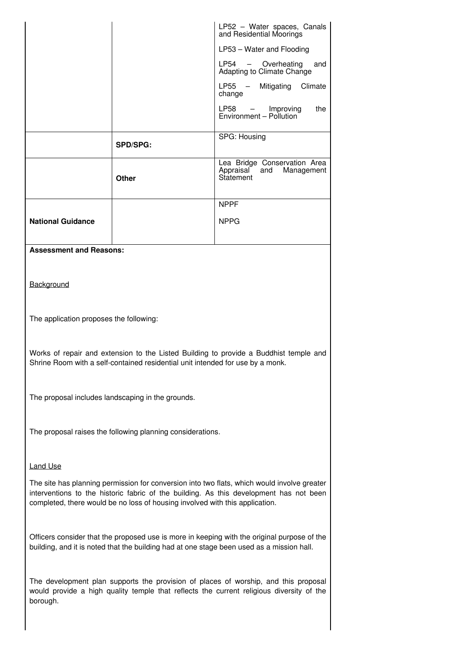|                                |                 | LP52 - Water spaces, Canals<br>and Residential Moorings                  |  |
|--------------------------------|-----------------|--------------------------------------------------------------------------|--|
|                                |                 | LP53 - Water and Flooding                                                |  |
|                                |                 | LP54 - Overheating<br>and<br>Adapting to Climate Change                  |  |
|                                |                 | LP55 - Mitigating<br>Climate<br>change                                   |  |
|                                |                 | LP58 - Improving<br>Environment - Pollution<br>the                       |  |
|                                | <b>SPD/SPG:</b> | SPG: Housing                                                             |  |
|                                | <b>Other</b>    | Lea Bridge Conservation Area<br>Appraisal and<br>Management<br>Statement |  |
|                                |                 | <b>NPPF</b>                                                              |  |
| <b>National Guidance</b>       |                 | <b>NPPG</b>                                                              |  |
| <b>Assessment and Reasons:</b> |                 |                                                                          |  |
| Background                     |                 |                                                                          |  |
|                                |                 |                                                                          |  |

The application proposes the following:

Works of repair and extension to the Listed Building to provide a Buddhist temple and Shrine Room with a self-contained residential unit intended for use by a monk.

The proposal includes landscaping in the grounds.

The proposal raises the following planning considerations.

# Land Use

The site has planning permission for conversion into two flats, which would involve greater interventions to the historic fabric of the building. As this development has not been completed, there would be no loss of housing involved with this application.

Officers consider that the proposed use is more in keeping with the original purpose of the building, and it is noted that the building had at one stage been used as a mission hall.

The development plan supports the provision of places of worship, and this proposal would provide a high quality temple that reflects the current religious diversity of the borough.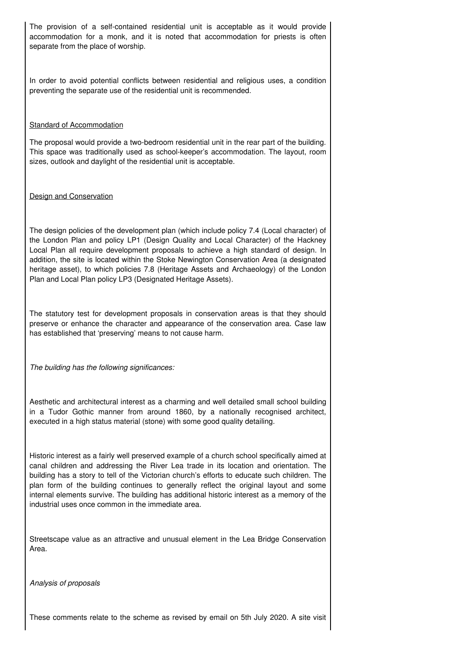The provision of a self-contained residential unit is acceptable as it would provide accommodation for a monk, and it is noted that accommodation for priests is often separate from the place of worship.

In order to avoid potential conflicts between residential and religious uses, a condition preventing the separate use of the residential unit is recommended.

### **Standard of Accommodation**

The proposal would provide a two-bedroom residential unit in the rear part of the building. This space was traditionally used as school-keeper's accommodation. The layout, room sizes, outlook and daylight of the residential unit is acceptable.

## Design and Conservation

The design policies of the development plan (which include policy 7.4 (Local character) of the London Plan and policy LP1 (Design Quality and Local Character) of the Hackney Local Plan all require development proposals to achieve a high standard of design. In addition, the site is located within the Stoke Newington Conservation Area (a designated heritage asset), to which policies 7.8 (Heritage Assets and Archaeology) of the London Plan and Local Plan policy LP3 (Designated Heritage Assets).

The statutory test for development proposals in conservation areas is that they should preserve or enhance the character and appearance of the conservation area. Case law has established that 'preserving' means to not cause harm.

*The building has the following significances:*

Aesthetic and architectural interest as a charming and well detailed small school building in a Tudor Gothic manner from around 1860, by a nationally recognised architect, executed in a high status material (stone) with some good quality detailing.

Historic interest as a fairly well preserved example of a church school specifically aimed at canal children and addressing the River Lea trade in its location and orientation. The building has a story to tell of the Victorian church's efforts to educate such children. The plan form of the building continues to generally reflect the original layout and some internal elements survive. The building has additional historic interest as a memory of the industrial uses once common in the immediate area.

Streetscape value as an attractive and unusual element in the Lea Bridge Conservation Area.

*Analysis of proposals*

These comments relate to the scheme as revised by email on 5th July 2020. A site visit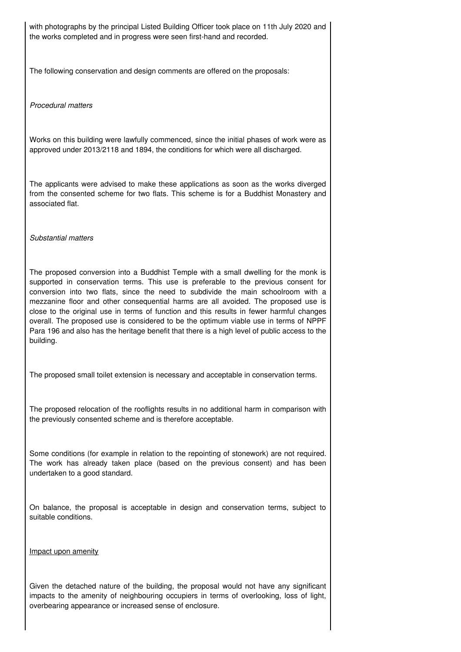with photographs by the principal Listed Building Officer took place on 11th July 2020 and the works completed and in progress were seen first-hand and recorded.

The following conservation and design comments are offered on the proposals:

*Procedural matters*

Works on this building were lawfully commenced, since the initial phases of work were as approved under 2013/2118 and 1894, the conditions for which were all discharged.

The applicants were advised to make these applications as soon as the works diverged from the consented scheme for two flats. This scheme is for a Buddhist Monastery and associated flat.

*Substantial matters*

The proposed conversion into a Buddhist Temple with a small dwelling for the monk is supported in conservation terms. This use is preferable to the previous consent for conversion into two flats, since the need to subdivide the main schoolroom with a mezzanine floor and other consequential harms are all avoided. The proposed use is close to the original use in terms of function and this results in fewer harmful changes overall. The proposed use is considered to be the optimum viable use in terms of NPPF Para 196 and also has the heritage benefit that there is a high level of public access to the building.

The proposed small toilet extension is necessary and acceptable in conservation terms.

The proposed relocation of the rooflights results in no additional harm in comparison with the previously consented scheme and is therefore acceptable.

Some conditions (for example in relation to the repointing of stonework) are not required. The work has already taken place (based on the previous consent) and has been undertaken to a good standard.

On balance, the proposal is acceptable in design and conservation terms, subject to suitable conditions.

Impact upon amenity

Given the detached nature of the building, the proposal would not have any significant impacts to the amenity of neighbouring occupiers in terms of overlooking, loss of light, overbearing appearance or increased sense of enclosure.